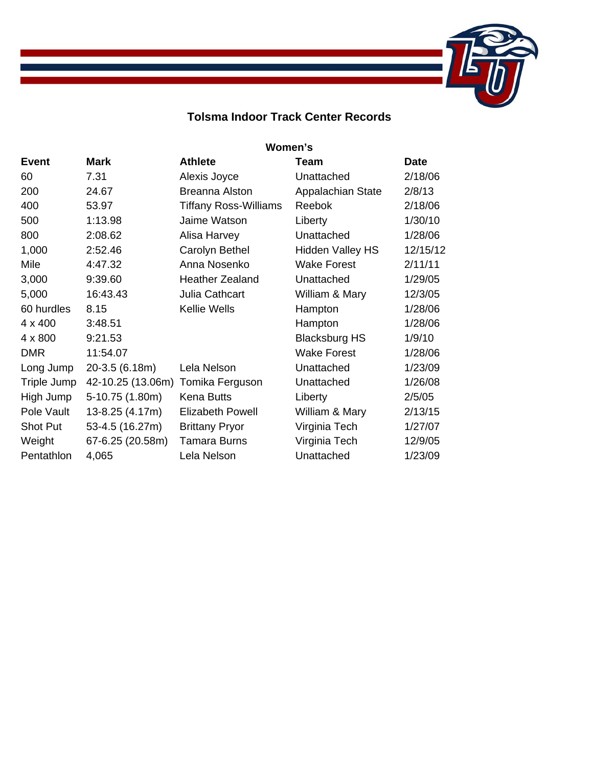

## **Tolsma Indoor Track Center Records**

|              | Women's           |                              |                         |             |  |
|--------------|-------------------|------------------------------|-------------------------|-------------|--|
| <b>Event</b> | <b>Mark</b>       | <b>Athlete</b>               | Team                    | <b>Date</b> |  |
| 60           | 7.31              | Alexis Joyce                 | Unattached              | 2/18/06     |  |
| 200          | 24.67             | <b>Breanna Alston</b>        | Appalachian State       | 2/8/13      |  |
| 400          | 53.97             | <b>Tiffany Ross-Williams</b> | Reebok                  | 2/18/06     |  |
| 500          | 1:13.98           | Jaime Watson                 | Liberty                 | 1/30/10     |  |
| 800          | 2:08.62           | Alisa Harvey                 | Unattached              | 1/28/06     |  |
| 1,000        | 2:52.46           | Carolyn Bethel               | <b>Hidden Valley HS</b> | 12/15/12    |  |
| Mile         | 4:47.32           | Anna Nosenko                 | <b>Wake Forest</b>      | 2/11/11     |  |
| 3,000        | 9:39.60           | <b>Heather Zealand</b>       | Unattached              | 1/29/05     |  |
| 5,000        | 16:43.43          | Julia Cathcart               | William & Mary          | 12/3/05     |  |
| 60 hurdles   | 8.15              | <b>Kellie Wells</b>          | Hampton                 | 1/28/06     |  |
| 4 x 400      | 3:48.51           |                              | Hampton                 | 1/28/06     |  |
| 4 x 800      | 9:21.53           |                              | <b>Blacksburg HS</b>    | 1/9/10      |  |
| <b>DMR</b>   | 11:54.07          |                              | <b>Wake Forest</b>      | 1/28/06     |  |
| Long Jump    | 20-3.5 (6.18m)    | Lela Nelson                  | Unattached              | 1/23/09     |  |
| Triple Jump  | 42-10.25 (13.06m) | Tomika Ferguson              | Unattached              | 1/26/08     |  |
| High Jump    | 5-10.75 (1.80m)   | <b>Kena Butts</b>            | Liberty                 | 2/5/05      |  |
| Pole Vault   | 13-8.25 (4.17m)   | <b>Elizabeth Powell</b>      | William & Mary          | 2/13/15     |  |
| Shot Put     | 53-4.5 (16.27m)   | <b>Brittany Pryor</b>        | Virginia Tech           | 1/27/07     |  |
| Weight       | 67-6.25 (20.58m)  | <b>Tamara Burns</b>          | Virginia Tech           | 12/9/05     |  |
| Pentathlon   | 4,065             | Lela Nelson                  | Unattached              | 1/23/09     |  |